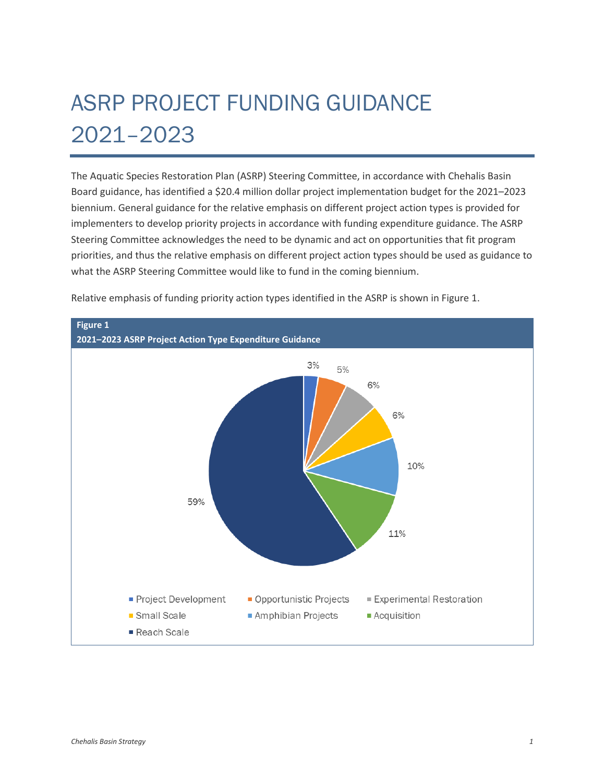## ASRP PROJECT FUNDING GUIDANCE 2021–2023

The Aquatic Species Restoration Plan (ASRP) Steering Committee, in accordance with Chehalis Basin Board guidance, has identified a \$20.4 million dollar project implementation budget for the 2021–2023 biennium. General guidance for the relative emphasis on different project action types is provided for implementers to develop priority projects in accordance with funding expenditure guidance. The ASRP Steering Committee acknowledges the need to be dynamic and act on opportunities that fit program priorities, and thus the relative emphasis on different project action types should be used as guidance to what the ASRP Steering Committee would like to fund in the coming biennium.



Relative emphasis of funding priority action types identified in the ASRP is shown in Figure 1.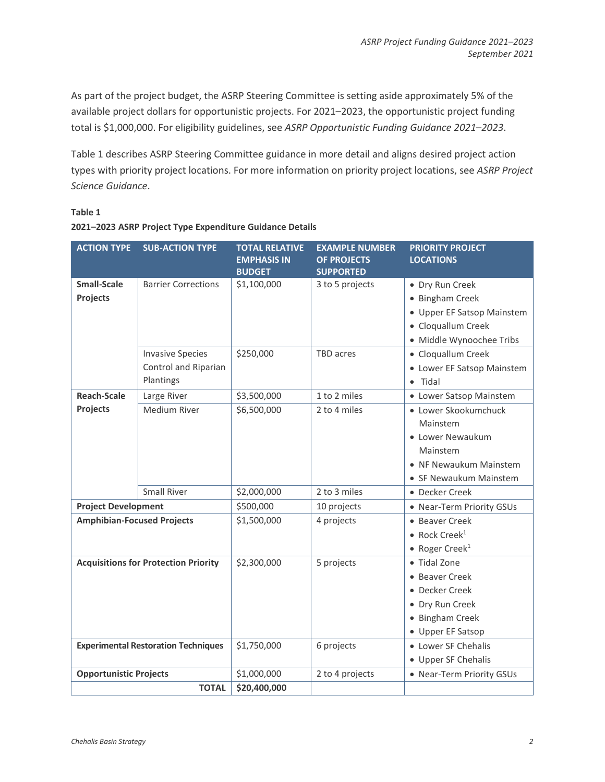As part of the project budget, the ASRP Steering Committee is setting aside approximately 5% of the available project dollars for opportunistic projects. For 2021–2023, the opportunistic project funding total is \$1,000,000. For eligibility guidelines, see *ASRP Opportunistic Funding Guidance 2021–2023*.

Table 1 describes ASRP Steering Committee guidance in more detail and aligns desired project action types with priority project locations. For more information on priority project locations, see *ASRP Project Science Guidance*.

## **Table 1**

| 2021-2023 ASRP Project Type Expenditure Guidance Details |  |  |
|----------------------------------------------------------|--|--|

| <b>ACTION TYPE</b>                          | <b>SUB-ACTION TYPE</b>     | <b>TOTAL RELATIVE</b><br><b>EMPHASIS IN</b> | <b>EXAMPLE NUMBER</b><br><b>OF PROJECTS</b> | <b>PRIORITY PROJECT</b><br><b>LOCATIONS</b> |
|---------------------------------------------|----------------------------|---------------------------------------------|---------------------------------------------|---------------------------------------------|
|                                             |                            | <b>BUDGET</b>                               | <b>SUPPORTED</b>                            |                                             |
| <b>Small-Scale</b>                          | <b>Barrier Corrections</b> | \$1,100,000                                 | 3 to 5 projects                             | • Dry Run Creek                             |
| Projects                                    |                            |                                             |                                             | • Bingham Creek                             |
|                                             |                            |                                             |                                             | • Upper EF Satsop Mainstem                  |
|                                             |                            |                                             |                                             | • Cloquallum Creek                          |
|                                             |                            |                                             |                                             | · Middle Wynoochee Tribs                    |
|                                             | <b>Invasive Species</b>    | \$250,000                                   | TBD acres                                   | • Cloquallum Creek                          |
|                                             | Control and Riparian       |                                             |                                             | • Lower EF Satsop Mainstem                  |
|                                             | Plantings                  |                                             |                                             | Tidal<br>$\bullet$                          |
| <b>Reach-Scale</b>                          | Large River                | \$3,500,000                                 | 1 to 2 miles                                | • Lower Satsop Mainstem                     |
| Projects                                    | Medium River               | \$6,500,000                                 | 2 to 4 miles                                | · Lower Skookumchuck                        |
|                                             |                            |                                             |                                             | Mainstem                                    |
|                                             |                            |                                             |                                             | • Lower Newaukum                            |
|                                             |                            |                                             |                                             | Mainstem                                    |
|                                             |                            |                                             |                                             | • NF Newaukum Mainstem                      |
|                                             |                            |                                             |                                             | • SF Newaukum Mainstem                      |
|                                             | <b>Small River</b>         | \$2,000,000                                 | 2 to 3 miles                                | • Decker Creek                              |
| <b>Project Development</b>                  |                            | \$500,000                                   | 10 projects                                 | • Near-Term Priority GSUs                   |
| <b>Amphibian-Focused Projects</b>           |                            | \$1,500,000                                 | 4 projects                                  | • Beaver Creek                              |
|                                             |                            |                                             |                                             | $\bullet$ Rock Creek <sup>1</sup>           |
|                                             |                            |                                             |                                             | • Roger Creek <sup>1</sup>                  |
| <b>Acquisitions for Protection Priority</b> |                            | \$2,300,000                                 | 5 projects                                  | • Tidal Zone                                |
|                                             |                            |                                             |                                             | • Beaver Creek                              |
|                                             |                            |                                             |                                             | • Decker Creek                              |
|                                             |                            |                                             |                                             | • Dry Run Creek                             |
|                                             |                            |                                             |                                             | • Bingham Creek                             |
|                                             |                            |                                             |                                             | • Upper EF Satsop                           |
| <b>Experimental Restoration Techniques</b>  |                            | \$1,750,000                                 | 6 projects                                  | • Lower SF Chehalis                         |
|                                             |                            |                                             |                                             | • Upper SF Chehalis                         |
| <b>Opportunistic Projects</b>               |                            | \$1,000,000                                 | 2 to 4 projects                             | • Near-Term Priority GSUs                   |
|                                             | <b>TOTAL</b>               | \$20,400,000                                |                                             |                                             |